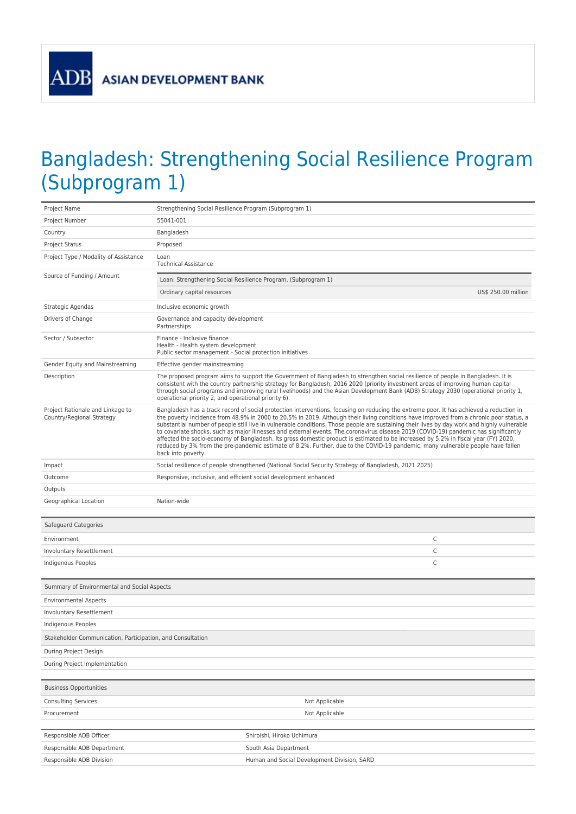ADB

## Bangladesh: Strengthening Social Resilience Program (Subprogram 1)

| Project Name                                                  | Strengthening Social Resilience Program (Subprogram 1)                                                                                                                                                                                                                                                                                                                                                                                                                                                                                                                                                                                                                                                                                                                                                                                                                    |  |
|---------------------------------------------------------------|---------------------------------------------------------------------------------------------------------------------------------------------------------------------------------------------------------------------------------------------------------------------------------------------------------------------------------------------------------------------------------------------------------------------------------------------------------------------------------------------------------------------------------------------------------------------------------------------------------------------------------------------------------------------------------------------------------------------------------------------------------------------------------------------------------------------------------------------------------------------------|--|
| Project Number                                                | 55041-001                                                                                                                                                                                                                                                                                                                                                                                                                                                                                                                                                                                                                                                                                                                                                                                                                                                                 |  |
| Country                                                       | Bangladesh                                                                                                                                                                                                                                                                                                                                                                                                                                                                                                                                                                                                                                                                                                                                                                                                                                                                |  |
| <b>Project Status</b>                                         | Proposed                                                                                                                                                                                                                                                                                                                                                                                                                                                                                                                                                                                                                                                                                                                                                                                                                                                                  |  |
| Project Type / Modality of Assistance                         | Loan<br><b>Technical Assistance</b>                                                                                                                                                                                                                                                                                                                                                                                                                                                                                                                                                                                                                                                                                                                                                                                                                                       |  |
| Source of Funding / Amount                                    | Loan: Strengthening Social Resilience Program, (Subprogram 1)                                                                                                                                                                                                                                                                                                                                                                                                                                                                                                                                                                                                                                                                                                                                                                                                             |  |
|                                                               | Ordinary capital resources<br>US\$ 250.00 million                                                                                                                                                                                                                                                                                                                                                                                                                                                                                                                                                                                                                                                                                                                                                                                                                         |  |
| Strategic Agendas                                             | Inclusive economic growth                                                                                                                                                                                                                                                                                                                                                                                                                                                                                                                                                                                                                                                                                                                                                                                                                                                 |  |
| Drivers of Change                                             | Governance and capacity development<br>Partnerships                                                                                                                                                                                                                                                                                                                                                                                                                                                                                                                                                                                                                                                                                                                                                                                                                       |  |
| Sector / Subsector                                            | Finance - Inclusive finance<br>Health - Health system development<br>Public sector management - Social protection initiatives                                                                                                                                                                                                                                                                                                                                                                                                                                                                                                                                                                                                                                                                                                                                             |  |
| Gender Equity and Mainstreaming                               | Effective gender mainstreaming                                                                                                                                                                                                                                                                                                                                                                                                                                                                                                                                                                                                                                                                                                                                                                                                                                            |  |
| Description                                                   | The proposed program aims to support the Government of Bangladesh to strengthen social resilience of people in Bangladesh. It is<br>consistent with the country partnership strategy for Bangladesh, 2016 2020 (priority investment areas of improving human capital<br>through social programs and improving rural livelihoods) and the Asian Development Bank (ADB) Strategy 2030 (operational priority 1,<br>operational priority 2, and operational priority 6).                                                                                                                                                                                                                                                                                                                                                                                                      |  |
| Project Rationale and Linkage to<br>Country/Regional Strategy | Bangladesh has a track record of social protection interventions, focusing on reducing the extreme poor. It has achieved a reduction in<br>the poverty incidence from 48.9% in 2000 to 20.5% in 2019. Although their living conditions have improved from a chronic poor status, a<br>substantial number of people still live in vulnerable conditions. Those people are sustaining their lives by day work and highly vulnerable<br>to covariate shocks, such as major illnesses and external events. The coronavirus disease 2019 (COVID-19) pandemic has significantly<br>affected the socio-economy of Bangladesh. Its gross domestic product is estimated to be increased by 5.2% in fiscal year (FY) 2020,<br>reduced by 3% from the pre-pandemic estimate of 8.2%. Further, due to the COVID-19 pandemic, many vulnerable people have fallen<br>back into poverty. |  |
| Impact                                                        | Social resilience of people strengthened (National Social Security Strategy of Bangladesh, 2021 2025)                                                                                                                                                                                                                                                                                                                                                                                                                                                                                                                                                                                                                                                                                                                                                                     |  |
| Outcome                                                       | Responsive, inclusive, and efficient social development enhanced                                                                                                                                                                                                                                                                                                                                                                                                                                                                                                                                                                                                                                                                                                                                                                                                          |  |
| Outputs                                                       |                                                                                                                                                                                                                                                                                                                                                                                                                                                                                                                                                                                                                                                                                                                                                                                                                                                                           |  |
| Geographical Location                                         | Nation-wide                                                                                                                                                                                                                                                                                                                                                                                                                                                                                                                                                                                                                                                                                                                                                                                                                                                               |  |
|                                                               |                                                                                                                                                                                                                                                                                                                                                                                                                                                                                                                                                                                                                                                                                                                                                                                                                                                                           |  |
| Safeguard Categories                                          |                                                                                                                                                                                                                                                                                                                                                                                                                                                                                                                                                                                                                                                                                                                                                                                                                                                                           |  |
| Environment                                                   | С                                                                                                                                                                                                                                                                                                                                                                                                                                                                                                                                                                                                                                                                                                                                                                                                                                                                         |  |
| Involuntary Resettlement                                      | С                                                                                                                                                                                                                                                                                                                                                                                                                                                                                                                                                                                                                                                                                                                                                                                                                                                                         |  |
| Indigenous Peoples                                            | C                                                                                                                                                                                                                                                                                                                                                                                                                                                                                                                                                                                                                                                                                                                                                                                                                                                                         |  |
|                                                               |                                                                                                                                                                                                                                                                                                                                                                                                                                                                                                                                                                                                                                                                                                                                                                                                                                                                           |  |
| Summary of Environmental and Social Aspects                   |                                                                                                                                                                                                                                                                                                                                                                                                                                                                                                                                                                                                                                                                                                                                                                                                                                                                           |  |
| <b>Environmental Aspects</b>                                  |                                                                                                                                                                                                                                                                                                                                                                                                                                                                                                                                                                                                                                                                                                                                                                                                                                                                           |  |
| Involuntary Resettlement                                      |                                                                                                                                                                                                                                                                                                                                                                                                                                                                                                                                                                                                                                                                                                                                                                                                                                                                           |  |
| Indigenous Peoples                                            |                                                                                                                                                                                                                                                                                                                                                                                                                                                                                                                                                                                                                                                                                                                                                                                                                                                                           |  |
| Stakeholder Communication, Participation, and Consultation    |                                                                                                                                                                                                                                                                                                                                                                                                                                                                                                                                                                                                                                                                                                                                                                                                                                                                           |  |
| During Project Design                                         |                                                                                                                                                                                                                                                                                                                                                                                                                                                                                                                                                                                                                                                                                                                                                                                                                                                                           |  |
| During Project Implementation                                 |                                                                                                                                                                                                                                                                                                                                                                                                                                                                                                                                                                                                                                                                                                                                                                                                                                                                           |  |
|                                                               |                                                                                                                                                                                                                                                                                                                                                                                                                                                                                                                                                                                                                                                                                                                                                                                                                                                                           |  |
| <b>Business Opportunities</b>                                 |                                                                                                                                                                                                                                                                                                                                                                                                                                                                                                                                                                                                                                                                                                                                                                                                                                                                           |  |
| <b>Consulting Services</b>                                    | Not Applicable                                                                                                                                                                                                                                                                                                                                                                                                                                                                                                                                                                                                                                                                                                                                                                                                                                                            |  |
| Procurement                                                   | Not Applicable                                                                                                                                                                                                                                                                                                                                                                                                                                                                                                                                                                                                                                                                                                                                                                                                                                                            |  |
| Responsible ADB Officer                                       | Shiroishi, Hiroko Uchimura                                                                                                                                                                                                                                                                                                                                                                                                                                                                                                                                                                                                                                                                                                                                                                                                                                                |  |
| Responsible ADB Department                                    | South Asia Department                                                                                                                                                                                                                                                                                                                                                                                                                                                                                                                                                                                                                                                                                                                                                                                                                                                     |  |
| Responsible ADB Division                                      | Human and Social Development Division, SARD                                                                                                                                                                                                                                                                                                                                                                                                                                                                                                                                                                                                                                                                                                                                                                                                                               |  |